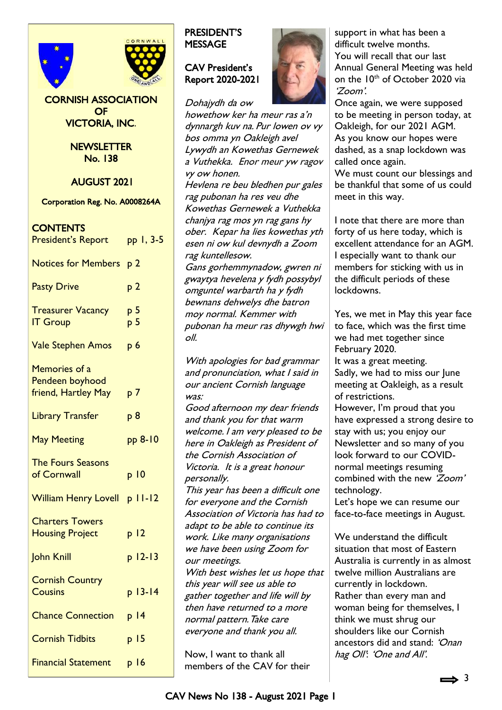



CORNISH ASSOCIATION OF VICTORIA, INC.

> **NEWSLETTER** No. 138

AUGUST 2021

Corporation Reg. No. A0008264A

## **CONTENTS**

| <b>President's Report</b>                               | pp 1, 3-5                        |
|---------------------------------------------------------|----------------------------------|
| <b>Notices for Members</b>                              | p <sub>2</sub>                   |
| <b>Pasty Drive</b>                                      | p <sub>2</sub>                   |
| <b>Treasurer Vacancy</b><br><b>IT Group</b>             | p <sub>5</sub><br>p <sub>5</sub> |
| <b>Vale Stephen Amos</b>                                | p <sub>6</sub>                   |
| Memories of a<br>Pendeen boyhood<br>friend, Hartley May | p 7                              |
| <b>Library Transfer</b>                                 | p <sub>8</sub>                   |
| <b>May Meeting</b>                                      | pp 8-10                          |
| <b>The Fours Seasons</b><br>of Cornwall                 | p <sub>10</sub>                  |
| <b>William Henry Lovell</b>                             | $p$   $l$ - $l$ 2                |
| <b>Charters Towers</b><br><b>Housing Project</b>        | p <sub>12</sub>                  |
| John Knill                                              | $p 12-13$                        |
| <b>Cornish Country</b><br><b>Cousins</b>                | $p 13-14$                        |
| <b>Chance Connection</b>                                | $p$  4                           |
| <b>Cornish Tidbits</b>                                  | p <sub>15</sub>                  |
| <b>Financial Statement</b>                              | p 16                             |
|                                                         |                                  |

## PRESIDENT'S **MESSAGE**

### CAV President's Report 2020-2021

Dohajydh da ow

howethow ker ha meur ras a'n dynnargh kuv na. Pur lowen ov vy bos omma yn Oakleigh avel Lywydh an Kowethas Gernewek a Vuthekka. Enor meur yw ragov vy ow honen. Hevlena re beu bledhen pur gales rag pubonan ha res veu dhe Kowethas Gernewek a Vuthekka chanjya rag mos yn rag gans hy ober. Kepar ha lies kowethas yth esen ni ow kul devnydh a Zoom rag kuntellesow. Gans gorhemmynadow, gwren ni gwaytya hevelena y fydh possybyl omguntel warbarth ha y fydh bewnans dehwelys dhe batron moy normal. Kemmer with pubonan ha meur ras dhywgh hwi oll. With apologies for bad grammar and pronunciation, what I said in our ancient Cornish language was: Good afternoon my dear friends and thank you for that warm welcome. I am very pleased to be here in Oakleigh as President of

the Cornish Association of Victoria. It is a great honour personally. This year has been a difficult one for everyone and the Cornish Association of Victoria has had to adapt to be able to continue its work. Like many organisations we have been using Zoom for our meetings. With best wishes let us hope that this year will see us able to gather together and life will by then have returned to a more normal pattern. Take care

Now, I want to thank all members of the CAV for their

everyone and thank you all.



Once again, we were supposed to be meeting in person today, at Oakleigh, for our 2021 AGM. As you know our hopes were dashed, as a snap lockdown was called once again.

We must count our blessings and be thankful that some of us could meet in this way.

I note that there are more than forty of us here today, which is excellent attendance for an AGM. I especially want to thank our members for sticking with us in the difficult periods of these lockdowns.

Yes, we met in May this year face to face, which was the first time we had met together since February 2020. It was a great meeting. Sadly, we had to miss our June meeting at Oakleigh, as a result of restrictions. However, I'm proud that you

have expressed a strong desire to stay with us; you enjoy our Newsletter and so many of you look forward to our COVIDnormal meetings resuming combined with the new 'Zoom' technology.

Let's hope we can resume our face-to-face meetings in August.

We understand the difficult situation that most of Eastern Australia is currently in as almost twelve million Australians are currently in lockdown. Rather than every man and woman being for themselves, I think we must shrug our shoulders like our Cornish ancestors did and stand: 'Onan hag Oll': 'One and All'.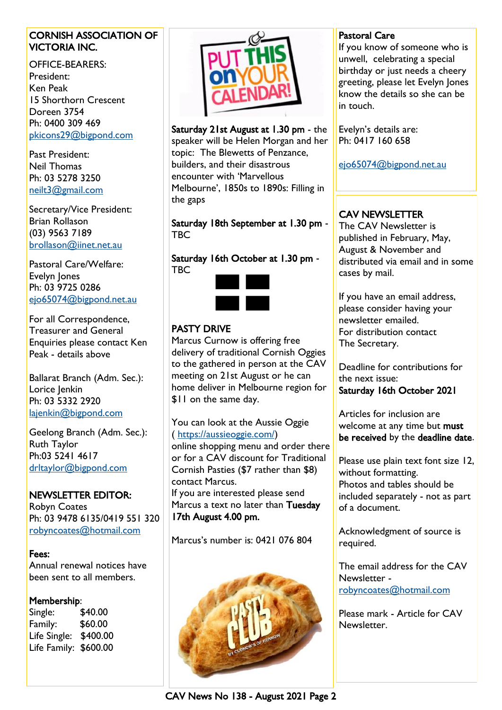### CORNISH ASSOCIATION OF VICTORIA INC.

OFFICE-BEARERS: President: Ken Peak 15 Shorthorn Crescent Doreen 3754 Ph: 0400 309 469 [pkicons29@bigpond.com](mailto:pkicons29@bigpond.com)

Past President: Neil Thomas Ph: 03 5278 3250 [neilt3@gmail.com](mailto:neilt3@gmail.com)

Secretary/Vice President: Brian Rollason (03) 9563 7189 [brollason@iinet.net.au](mailto:brollason@iinet.net.au)

Pastoral Care/Welfare: Evelyn Jones Ph: 03 9725 0286 [ejo65074@bigpond.net.au](mailto:ejo65074@bigpond.net.au)

For all Correspondence, Treasurer and General Enquiries please contact Ken Peak - details above

Ballarat Branch (Adm. Sec.): Lorice Jenkin Ph: 03 5332 2920 [lajenkin@bigpond.com](mailto:lajenkin@bigpond.com)

Geelong Branch (Adm. Sec.): Ruth Taylor Ph:03 5241 4617 [drltaylor@bigpond.com](mailto:drltaylor@bigpond.com)

### NEWSLETTER EDITOR:

Robyn Coates Ph: 03 9478 6135/0419 551 320 [robyncoates@hotmail.com](mailto:robyncoates@hotmail.com)

#### Fees:

Annual renewal notices have been sent to all members.

#### Membership:

Single: \$40.00 Family: \$60.00 Life Single: \$400.00 Life Family: \$600.00



Saturday 21st August at 1.30 pm - the speaker will be Helen Morgan and her topic: The Blewetts of Penzance, builders, and their disastrous encounter with 'Marvellous Melbourne', 1850s to 1890s: Filling in the gaps

Saturday 18th September at 1.30 pm - **TBC** 

Saturday 16th October at 1.30 pm - TBC



## PASTY DRIVE

Marcus Curnow is offering free delivery of traditional Cornish Oggies to the gathered in person at the CAV meeting on 21st August or he can home deliver in Melbourne region for \$11 on the same day.

You can look at the Aussie Oggie ( [https://aussieoggie.com/\)](https://aussieoggie.com/)

online shopping menu and order there or for a CAV discount for Traditional Cornish Pasties (\$7 rather than \$8) contact Marcus. If you are interested please send Marcus a text no later than Tuesday 17th August 4.00 pm.

Marcus's number is: 0421 076 804



### Pastoral Care

If you know of someone who is unwell, celebrating a special birthday or just needs a cheery greeting, please let Evelyn Jones know the details so she can be in touch.

Evelyn's details are: Ph: 0417 160 658

[ejo65074@bigpond.net.au](mailto:ejo65074@bigpond.net.au)

## CAV NEWSLETTER

The CAV Newsletter is published in February, May, August & November and distributed via email and in some cases by mail.

If you have an email address, please consider having your newsletter emailed. For distribution contact The Secretary.

Deadline for contributions for the next issue:

Saturday 16th October 2021

Articles for inclusion are welcome at any time but must be received by the deadline date.

Please use plain text font size 12, without formatting. Photos and tables should be included separately - not as part of a document.

Acknowledgment of source is required.

The email address for the CAV Newsletter [robyncoates@hotmail.com](mailto:robyncoates@hotmail.com)

Please mark - Article for CAV Newsletter.

CAV News No 138 - August 2021 Page 2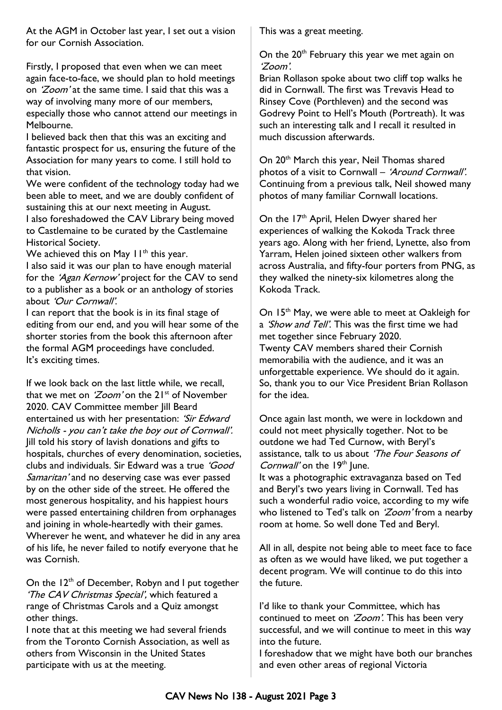At the AGM in October last year, I set out a vision for our Cornish Association.

Firstly, I proposed that even when we can meet again face-to-face, we should plan to hold meetings on *'Zoom'* at the same time. I said that this was a way of involving many more of our members, especially those who cannot attend our meetings in Melbourne.

I believed back then that this was an exciting and fantastic prospect for us, ensuring the future of the Association for many years to come. I still hold to that vision.

We were confident of the technology today had we been able to meet, and we are doubly confident of sustaining this at our next meeting in August.

I also foreshadowed the CAV Library being moved to Castlemaine to be curated by the Castlemaine Historical Society.

We achieved this on May  $11^{th}$  this year.

I also said it was our plan to have enough material for the 'Agan Kernow' project for the CAV to send to a publisher as a book or an anthology of stories about 'Our Cornwall'.

I can report that the book is in its final stage of editing from our end, and you will hear some of the shorter stories from the book this afternoon after the formal AGM proceedings have concluded. It's exciting times.

If we look back on the last little while, we recall, that we met on ' $Zoom'$  on the  $21^{st}$  of November 2020. CAV Committee member Jill Beard entertained us with her presentation: 'Sir Edward Nicholls - you can't take the boy out of Cornwall'. Jill told his story of lavish donations and gifts to hospitals, churches of every denomination, societies, clubs and individuals. Sir Edward was a true 'Good Samaritan' and no deserving case was ever passed by on the other side of the street. He offered the most generous hospitality, and his happiest hours were passed entertaining children from orphanages and joining in whole-heartedly with their games. Wherever he went, and whatever he did in any area of his life, he never failed to notify everyone that he was Cornish.

On the  $12<sup>th</sup>$  of December, Robyn and I put together 'The CAV Christmas Special', which featured a range of Christmas Carols and a Quiz amongst other things.

I note that at this meeting we had several friends from the Toronto Cornish Association, as well as others from Wisconsin in the United States participate with us at the meeting.

This was a great meeting.

On the 20<sup>th</sup> February this year we met again on 'Zoom'.

Brian Rollason spoke about two cliff top walks he did in Cornwall. The first was Trevavis Head to Rinsey Cove (Porthleven) and the second was Godrevy Point to Hell's Mouth (Portreath). It was such an interesting talk and I recall it resulted in much discussion afterwards.

On 20<sup>th</sup> March this year, Neil Thomas shared photos of a visit to Cornwall – 'Around Cornwall'. Continuing from a previous talk, Neil showed many photos of many familiar Cornwall locations.

On the 17<sup>th</sup> April, Helen Dwyer shared her experiences of walking the Kokoda Track three years ago. Along with her friend, Lynette, also from Yarram, Helen joined sixteen other walkers from across Australia, and fifty-four porters from PNG, as they walked the ninety-six kilometres along the Kokoda Track.

On 15<sup>th</sup> May, we were able to meet at Oakleigh for a *'Show and Tell'*. This was the first time we had met together since February 2020. Twenty CAV members shared their Cornish memorabilia with the audience, and it was an unforgettable experience. We should do it again. So, thank you to our Vice President Brian Rollason for the idea.

Once again last month, we were in lockdown and could not meet physically together. Not to be outdone we had Ted Curnow, with Beryl's assistance, talk to us about 'The Four Seasons of Cornwall' on the  $19<sup>th</sup>$  June. It was a photographic extravaganza based on Ted and Beryl's two years living in Cornwall. Ted has such a wonderful radio voice, according to my wife who listened to Ted's talk on 'Zoom' from a nearby room at home. So well done Ted and Beryl.

All in all, despite not being able to meet face to face as often as we would have liked, we put together a decent program. We will continue to do this into the future.

I'd like to thank your Committee, which has continued to meet on 'Zoom'. This has been very successful, and we will continue to meet in this way into the future.

I foreshadow that we might have both our branches and even other areas of regional Victoria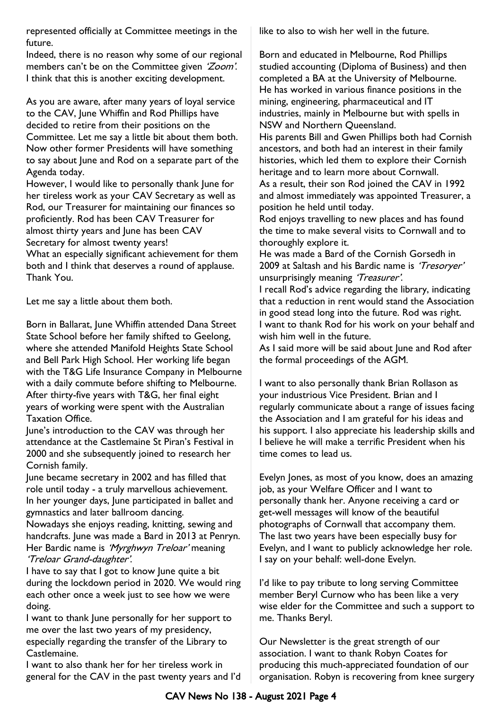represented officially at Committee meetings in the future.

Indeed, there is no reason why some of our regional members can't be on the Committee given 'Zoom'. I think that this is another exciting development.

As you are aware, after many years of loyal service to the CAV, June Whiffin and Rod Phillips have decided to retire from their positions on the Committee. Let me say a little bit about them both. Now other former Presidents will have something to say about June and Rod on a separate part of the Agenda today.

However, I would like to personally thank June for her tireless work as your CAV Secretary as well as Rod, our Treasurer for maintaining our finances so proficiently. Rod has been CAV Treasurer for almost thirty years and June has been CAV Secretary for almost twenty years!

What an especially significant achievement for them both and I think that deserves a round of applause. Thank You.

Let me say a little about them both.

Born in Ballarat, June Whiffin attended Dana Street State School before her family shifted to Geelong, where she attended Manifold Heights State School and Bell Park High School. Her working life began with the T&G Life Insurance Company in Melbourne with a daily commute before shifting to Melbourne. After thirty-five years with T&G, her final eight years of working were spent with the Australian Taxation Office.

June's introduction to the CAV was through her attendance at the Castlemaine St Piran's Festival in 2000 and she subsequently joined to research her Cornish family.

June became secretary in 2002 and has filled that role until today - a truly marvellous achievement. In her younger days, June participated in ballet and gymnastics and later ballroom dancing.

Nowadays she enjoys reading, knitting, sewing and handcrafts. June was made a Bard in 2013 at Penryn. Her Bardic name is 'Myrghwyn Treloar' meaning 'Treloar Grand-daughter'.

I have to say that I got to know June quite a bit during the lockdown period in 2020. We would ring each other once a week just to see how we were doing.

I want to thank June personally for her support to me over the last two years of my presidency, especially regarding the transfer of the Library to Castlemaine.

I want to also thank her for her tireless work in general for the CAV in the past twenty years and I'd like to also to wish her well in the future.

Born and educated in Melbourne, Rod Phillips studied accounting (Diploma of Business) and then completed a BA at the University of Melbourne. He has worked in various finance positions in the mining, engineering, pharmaceutical and IT industries, mainly in Melbourne but with spells in NSW and Northern Queensland.

His parents Bill and Gwen Phillips both had Cornish ancestors, and both had an interest in their family histories, which led them to explore their Cornish heritage and to learn more about Cornwall.

As a result, their son Rod joined the CAV in 1992 and almost immediately was appointed Treasurer, a position he held until today.

Rod enjoys travelling to new places and has found the time to make several visits to Cornwall and to thoroughly explore it.

He was made a Bard of the Cornish Gorsedh in 2009 at Saltash and his Bardic name is 'Tresoryer' unsurprisingly meaning 'Treasurer'.

I recall Rod's advice regarding the library, indicating that a reduction in rent would stand the Association in good stead long into the future. Rod was right. I want to thank Rod for his work on your behalf and wish him well in the future.

As I said more will be said about June and Rod after the formal proceedings of the AGM.

I want to also personally thank Brian Rollason as your industrious Vice President. Brian and I regularly communicate about a range of issues facing the Association and I am grateful for his ideas and his support. I also appreciate his leadership skills and I believe he will make a terrific President when his time comes to lead us.

Evelyn Jones, as most of you know, does an amazing job, as your Welfare Officer and I want to personally thank her. Anyone receiving a card or get-well messages will know of the beautiful photographs of Cornwall that accompany them. The last two years have been especially busy for Evelyn, and I want to publicly acknowledge her role. I say on your behalf: well-done Evelyn.

I'd like to pay tribute to long serving Committee member Beryl Curnow who has been like a very wise elder for the Committee and such a support to me. Thanks Beryl.

Our Newsletter is the great strength of our association. I want to thank Robyn Coates for producing this much-appreciated foundation of our organisation. Robyn is recovering from knee surgery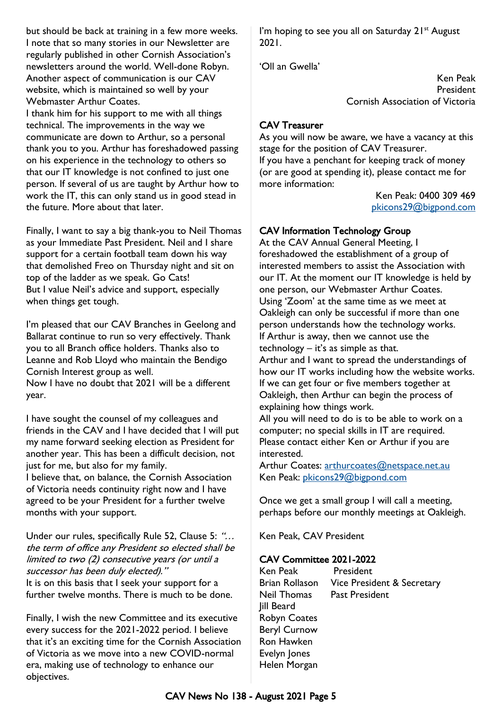but should be back at training in a few more weeks. I note that so many stories in our Newsletter are regularly published in other Cornish Association's newsletters around the world. Well-done Robyn. Another aspect of communication is our CAV website, which is maintained so well by your Webmaster Arthur Coates.

I thank him for his support to me with all things technical. The improvements in the way we communicate are down to Arthur, so a personal thank you to you. Arthur has foreshadowed passing on his experience in the technology to others so that our IT knowledge is not confined to just one person. If several of us are taught by Arthur how to work the IT, this can only stand us in good stead in the future. More about that later.

Finally, I want to say a big thank-you to Neil Thomas as your Immediate Past President. Neil and I share support for a certain football team down his way that demolished Freo on Thursday night and sit on top of the ladder as we speak. Go Cats! But I value Neil's advice and support, especially when things get tough.

I'm pleased that our CAV Branches in Geelong and Ballarat continue to run so very effectively. Thank you to all Branch office holders. Thanks also to Leanne and Rob Lloyd who maintain the Bendigo Cornish Interest group as well. Now I have no doubt that 2021 will be a different year.

I have sought the counsel of my colleagues and friends in the CAV and I have decided that I will put my name forward seeking election as President for another year. This has been a difficult decision, not just for me, but also for my family. I believe that, on balance, the Cornish Association of Victoria needs continuity right now and I have agreed to be your President for a further twelve months with your support.

Under our rules, specifically Rule 52, Clause 5: "... the term of office any President so elected shall be limited to two (2) consecutive years (or until a successor has been duly elected)." It is on this basis that I seek your support for a further twelve months. There is much to be done.

Finally, I wish the new Committee and its executive every success for the 2021-2022 period. I believe that it's an exciting time for the Cornish Association of Victoria as we move into a new COVID-normal era, making use of technology to enhance our objectives.

I'm hoping to see you all on Saturday  $21^{st}$  August 2021.

'Oll an Gwella'

Ken Peak President Cornish Association of Victoria

## CAV Treasurer

As you will now be aware, we have a vacancy at this stage for the position of CAV Treasurer. If you have a penchant for keeping track of money (or are good at spending it), please contact me for more information:

Ken Peak: 0400 309 469 [pkicons29@bigpond.com](mailto:pkicons29@bigpond.com)

## CAV Information Technology Group

At the CAV Annual General Meeting, I foreshadowed the establishment of a group of interested members to assist the Association with our IT. At the moment our IT knowledge is held by one person, our Webmaster Arthur Coates. Using 'Zoom' at the same time as we meet at Oakleigh can only be successful if more than one person understands how the technology works. If Arthur is away, then we cannot use the technology – it's as simple as that.

Arthur and I want to spread the understandings of how our IT works including how the website works. If we can get four or five members together at Oakleigh, then Arthur can begin the process of explaining how things work.

All you will need to do is to be able to work on a computer; no special skills in IT are required. Please contact either Ken or Arthur if you are interested.

Arthur Coates: [arthurcoates@netspace.net.au](mailto:arthurcoates@netspace.net.au) Ken Peak: [pkicons29@bigpond.com](mailto:pkicons29@bigpond.com)

Once we get a small group I will call a meeting, perhaps before our monthly meetings at Oakleigh.

Ken Peak, CAV President

#### CAV Committee 2021-2022

Ken Peak President Brian Rollason Vice President & Secretary Neil Thomas Past President Jill Beard Robyn Coates Beryl Curnow Ron Hawken Evelyn Jones Helen Morgan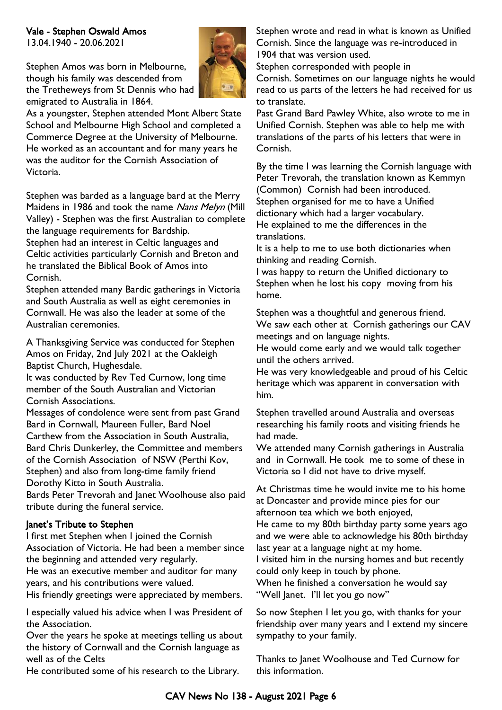## Vale - Stephen Oswald Amos

13.04.1940 - 20.06.2021

Stephen Amos was born in Melbourne, though his family was descended from the Tretheweys from St Dennis who had emigrated to Australia in 1864.



As a youngster, Stephen attended Mont Albert State School and Melbourne High School and completed a Commerce Degree at the University of Melbourne. He worked as an accountant and for many years he was the auditor for the Cornish Association of Victoria.

Stephen was barded as a language bard at the Merry Maidens in 1986 and took the name Nans Melyn (Mill Valley) - Stephen was the first Australian to complete the language requirements for Bardship.

Stephen had an interest in Celtic languages and Celtic activities particularly Cornish and Breton and he translated the Biblical Book of Amos into Cornish.

Stephen attended many Bardic gatherings in Victoria and South Australia as well as eight ceremonies in Cornwall. He was also the leader at some of the Australian ceremonies.

A Thanksgiving Service was conducted for Stephen Amos on Friday, 2nd July 2021 at the Oakleigh Baptist Church, Hughesdale.

It was conducted by Rev Ted Curnow, long time member of the South Australian and Victorian Cornish Associations.

Messages of condolence were sent from past Grand Bard in Cornwall, Maureen Fuller, Bard Noel Carthew from the Association in South Australia, Bard Chris Dunkerley, the Committee and members of the Cornish Association of NSW (Perthi Kov, Stephen) and also from long-time family friend Dorothy Kitto in South Australia.

Bards Peter Trevorah and Janet Woolhouse also paid tribute during the funeral service.

### Janet's Tribute to Stephen

I first met Stephen when I joined the Cornish Association of Victoria. He had been a member since the beginning and attended very regularly.

He was an executive member and auditor for many years, and his contributions were valued.

His friendly greetings were appreciated by members.

I especially valued his advice when I was President of the Association.

Over the years he spoke at meetings telling us about the history of Cornwall and the Cornish language as well as of the Celts

He contributed some of his research to the Library.

Stephen wrote and read in what is known as Unified Cornish. Since the language was re-introduced in 1904 that was version used.

Stephen corresponded with people in

Cornish. Sometimes on our language nights he would read to us parts of the letters he had received for us to translate.

Past Grand Bard Pawley White, also wrote to me in Unified Cornish. Stephen was able to help me with translations of the parts of his letters that were in Cornish.

By the time I was learning the Cornish language with Peter Trevorah, the translation known as Kemmyn (Common) Cornish had been introduced. Stephen organised for me to have a Unified dictionary which had a larger vocabulary. He explained to me the differences in the translations.

It is a help to me to use both dictionaries when thinking and reading Cornish.

I was happy to return the Unified dictionary to Stephen when he lost his copy moving from his home.

Stephen was a thoughtful and generous friend. We saw each other at Cornish gatherings our CAV meetings and on language nights.

He would come early and we would talk together until the others arrived.

He was very knowledgeable and proud of his Celtic heritage which was apparent in conversation with him.

Stephen travelled around Australia and overseas researching his family roots and visiting friends he had made.

We attended many Cornish gatherings in Australia and in Cornwall. He took me to some of these in Victoria so I did not have to drive myself.

At Christmas time he would invite me to his home at Doncaster and provide mince pies for our afternoon tea which we both enjoyed,

He came to my 80th birthday party some years ago and we were able to acknowledge his 80th birthday last year at a language night at my home.

I visited him in the nursing homes and but recently could only keep in touch by phone.

When he finished a conversation he would say "Well Janet. I'll let you go now"

So now Stephen I let you go, with thanks for your friendship over many years and I extend my sincere sympathy to your family.

Thanks to Janet Woolhouse and Ted Curnow for this information.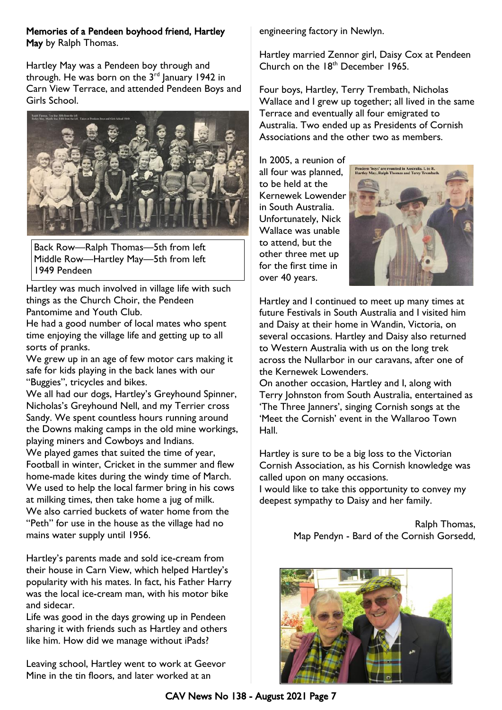#### Memories of a Pendeen boyhood friend, Hartley May by Ralph Thomas.

Hartley May was a Pendeen boy through and through. He was born on the  $3<sup>rd</sup>$  January 1942 in Carn View Terrace, and attended Pendeen Boys and Girls School.



Back Row—Ralph Thomas—5th from left Middle Row—Hartley May—5th from left 1949 Pendeen

Hartley was much involved in village life with such things as the Church Choir, the Pendeen Pantomime and Youth Club.

He had a good number of local mates who spent time enjoying the village life and getting up to all sorts of pranks.

We grew up in an age of few motor cars making it safe for kids playing in the back lanes with our "Buggies", tricycles and bikes.

We all had our dogs, Hartley's Greyhound Spinner, Nicholas's Greyhound Nell, and my Terrier cross Sandy. We spent countless hours running around the Downs making camps in the old mine workings, playing miners and Cowboys and Indians. We played games that suited the time of year, Football in winter, Cricket in the summer and flew home-made kites during the windy time of March. We used to help the local farmer bring in his cows at milking times, then take home a jug of milk. We also carried buckets of water home from the "Peth" for use in the house as the village had no mains water supply until 1956.

Hartley's parents made and sold ice-cream from their house in Carn View, which helped Hartley's popularity with his mates. In fact, his Father Harry was the local ice-cream man, with his motor bike and sidecar.

Life was good in the days growing up in Pendeen sharing it with friends such as Hartley and others like him. How did we manage without iPads?

Leaving school, Hartley went to work at Geevor Mine in the tin floors, and later worked at an

engineering factory in Newlyn.

Hartley married Zennor girl, Daisy Cox at Pendeen Church on the  $18<sup>th</sup>$  December 1965.

Four boys, Hartley, Terry Trembath, Nicholas Wallace and I grew up together; all lived in the same Terrace and eventually all four emigrated to Australia. Two ended up as Presidents of Cornish Associations and the other two as members.

In 2005, a reunion of all four was planned, to be held at the Kernewek Lowender in South Australia. Unfortunately, Nick Wallace was unable to attend, but the other three met up for the first time in over 40 years.



Hartley and I continued to meet up many times at future Festivals in South Australia and I visited him and Daisy at their home in Wandin, Victoria, on several occasions. Hartley and Daisy also returned to Western Australia with us on the long trek across the Nullarbor in our caravans, after one of the Kernewek Lowenders.

On another occasion, Hartley and I, along with Terry Johnston from South Australia, entertained as 'The Three Janners', singing Cornish songs at the 'Meet the Cornish' event in the Wallaroo Town Hall.

Hartley is sure to be a big loss to the Victorian Cornish Association, as his Cornish knowledge was called upon on many occasions.

I would like to take this opportunity to convey my deepest sympathy to Daisy and her family.

> Ralph Thomas, Map Pendyn - Bard of the Cornish Gorsedd,

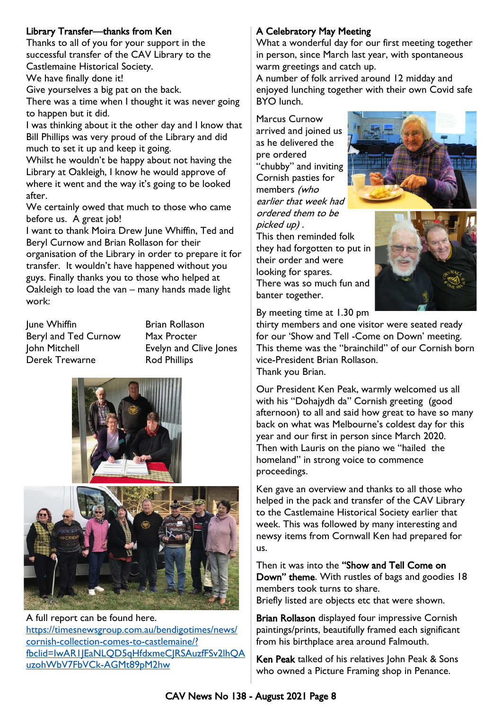## Library Transfer—thanks from Ken

Thanks to all of you for your support in the successful transfer of the CAV Library to the Castlemaine Historical Society.

We have finally done it!

Give yourselves a big pat on the back.

There was a time when I thought it was never going to happen but it did.

I was thinking about it the other day and I know that Bill Phillips was very proud of the Library and did much to set it up and keep it going.

Whilst he wouldn't be happy about not having the Library at Oakleigh, I know he would approve of where it went and the way it's going to be looked after.

We certainly owed that much to those who came before us. A great job!

I want to thank Moira Drew June Whiffin, Ted and Beryl Curnow and Brian Rollason for their organisation of the Library in order to prepare it for transfer. It wouldn't have happened without you guys. Finally thanks you to those who helped at Oakleigh to load the van – many hands made light work:

June Whiffin **Brian Rollason** Beryl and Ted Curnow Max Procter John Mitchell Evelyn and Clive Jones Derek Trewarne Rod Phillips





A full report can be found here. [https://timesnewsgroup.com.au/bendigotimes/news/](https://timesnewsgroup.com.au/bendigotimes/news/cornish-collection-comes-to-castlemaine/?fbclid=IwAR1JEaNLQD5qHfdxmeCJRSAuzfFSv2lhQAuzohWbV7FbVCk-AGMt89pM2hw) [cornish-collection-comes-to-castlemaine/?](https://timesnewsgroup.com.au/bendigotimes/news/cornish-collection-comes-to-castlemaine/?fbclid=IwAR1JEaNLQD5qHfdxmeCJRSAuzfFSv2lhQAuzohWbV7FbVCk-AGMt89pM2hw) [fbclid=IwAR1JEaNLQD5qHfdxmeCJRSAuzfFSv2lhQA](https://timesnewsgroup.com.au/bendigotimes/news/cornish-collection-comes-to-castlemaine/?fbclid=IwAR1JEaNLQD5qHfdxmeCJRSAuzfFSv2lhQAuzohWbV7FbVCk-AGMt89pM2hw) [uzohWbV7FbVCk-AGMt89pM2hw](https://timesnewsgroup.com.au/bendigotimes/news/cornish-collection-comes-to-castlemaine/?fbclid=IwAR1JEaNLQD5qHfdxmeCJRSAuzfFSv2lhQAuzohWbV7FbVCk-AGMt89pM2hw)

## A Celebratory May Meeting

What a wonderful day for our first meeting together in person, since March last year, with spontaneous warm greetings and catch up.

A number of folk arrived around 12 midday and enjoyed lunching together with their own Covid safe BYO lunch.

Marcus Curnow arrived and joined us as he delivered the pre ordered "chubby" and inviting Cornish pasties for members (who earlier that week had ordered them to be picked up) .



This then reminded folk they had forgotten to put in their order and were looking for spares. There was so much fun and banter together.



By meeting time at 1.30 pm

thirty members and one visitor were seated ready for our 'Show and Tell -Come on Down' meeting. This theme was the "brainchild" of our Cornish born vice-President Brian Rollason. Thank you Brian.

Our President Ken Peak, warmly welcomed us all with his "Dohajydh da" Cornish greeting (good afternoon) to all and said how great to have so many back on what was Melbourne's coldest day for this year and our first in person since March 2020. Then with Lauris on the piano we "hailed the homeland" in strong voice to commence proceedings.

Ken gave an overview and thanks to all those who helped in the pack and transfer of the CAV Library to the Castlemaine Historical Society earlier that week. This was followed by many interesting and newsy items from Cornwall Ken had prepared for us.

Then it was into the "Show and Tell Come on Down" theme. With rustles of bags and goodies 18 members took turns to share. Briefly listed are objects etc that were shown.

Brian Rollason displayed four impressive Cornish paintings/prints, beautifully framed each significant from his birthplace area around Falmouth.

Ken Peak talked of his relatives John Peak & Sons who owned a Picture Framing shop in Penance.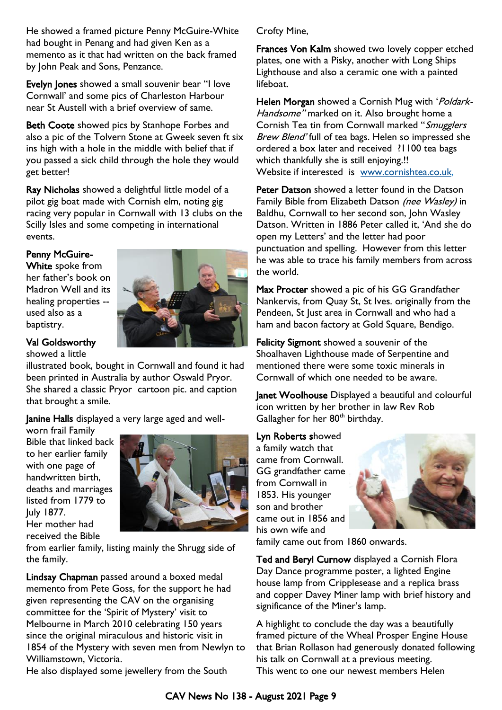He showed a framed picture Penny McGuire-White had bought in Penang and had given Ken as a memento as it that had written on the back framed by John Peak and Sons, Penzance.

Evelyn Jones showed a small souvenir bear "I love Cornwall' and some pics of Charleston Harbour near St Austell with a brief overview of same.

Beth Coote showed pics by Stanhope Forbes and also a pic of the Tolvern Stone at Gweek seven ft six ins high with a hole in the middle with belief that if you passed a sick child through the hole they would get better!

Ray Nicholas showed a delightful little model of a pilot gig boat made with Cornish elm, noting gig racing very popular in Cornwall with 13 clubs on the Scilly Isles and some competing in international events.

## Penny McGuire-

White spoke from her father's book on Madron Well and its healing properties - used also as a baptistry.



## Val Goldsworthy

showed a little

illustrated book, bought in Cornwall and found it had been printed in Australia by author Oswald Pryor. She shared a classic Pryor cartoon pic. and caption that brought a smile.

Janine Halls displayed a very large aged and well-

worn frail Family Bible that linked back to her earlier family with one page of handwritten birth, deaths and marriages listed from 1779 to July 1877. Her mother had received the Bible



from earlier family, listing mainly the Shrugg side of the family.

Lindsay Chapman passed around a boxed medal memento from Pete Goss, for the support he had given representing the CAV on the organising committee for the 'Spirit of Mystery' visit to Melbourne in March 2010 celebrating 150 years since the original miraculous and historic visit in 1854 of the Mystery with seven men from Newlyn to Williamstown, Victoria.

He also displayed some jewellery from the South

Crofty Mine,

Frances Von Kalm showed two lovely copper etched plates, one with a Pisky, another with Long Ships Lighthouse and also a ceramic one with a painted lifeboat.

Helen Morgan showed a Cornish Mug with 'Poldark-Handsome" marked on it. Also brought home a Cornish Tea tin from Cornwall marked "Smugglers" Brew Blend' full of tea bags. Helen so impressed she ordered a box later and received ?1100 tea bags which thankfully she is still enjoying.!! Website if interested is [www.cornishtea.co.uk,](http://www.cornishtea.co.uk)

Peter Datson showed a letter found in the Datson Family Bible from Elizabeth Datson (nee Wasley) in Baldhu, Cornwall to her second son, John Wasley Datson. Written in 1886 Peter called it, 'And she do open my Letters' and the letter had poor punctuation and spelling. However from this letter he was able to trace his family members from across the world.

Max Procter showed a pic of his GG Grandfather Nankervis, from Quay St, St Ives. originally from the Pendeen, St Just area in Cornwall and who had a ham and bacon factory at Gold Square, Bendigo.

Felicity Sigmont showed a souvenir of the Shoalhaven Lighthouse made of Serpentine and mentioned there were some toxic minerals in Cornwall of which one needed to be aware.

Janet Woolhouse Displayed a beautiful and colourful icon written by her brother in law Rev Rob Gallagher for her 80<sup>th</sup> birthday.

Lyn Roberts showed a family watch that came from Cornwall. GG grandfather came from Cornwall in 1853. His younger son and brother came out in 1856 and his own wife and



family came out from 1860 onwards.

Ted and Beryl Curnow displayed a Cornish Flora Day Dance programme poster, a lighted Engine house lamp from Cripplesease and a replica brass and copper Davey Miner lamp with brief history and significance of the Miner's lamp.

A highlight to conclude the day was a beautifully framed picture of the Wheal Prosper Engine House that Brian Rollason had generously donated following his talk on Cornwall at a previous meeting. This went to one our newest members Helen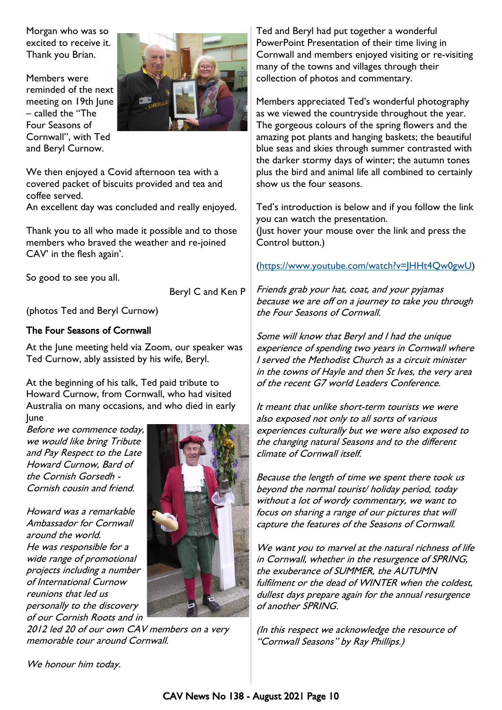Morgan who was so excited to receive it. Thank you Brian.

Members were reminded of the next meeting on 19th June – called the "The Four Seasons of Cornwall", with Ted and Beryl Curnow.



We then enjoyed a Covid afternoon tea with a covered packet of biscuits provided and tea and coffee served.

An excellent day was concluded and really enjoyed.

Thank you to all who made it possible and to those members who braved the weather and re-joined CAV' in the flesh again'.

So good to see you all.

Beryl C and Ken P

(photos Ted and Beryl Curnow)

#### The Four Seasons of Cornwall

At the June meeting held via Zoom, our speaker was Ted Curnow, ably assisted by his wife, Beryl.

At the beginning of his talk, Ted paid tribute to Howard Curnow, from Cornwall, who had visited Australia on many occasions, and who died in early June

Before we commence today, we would like bring Tribute and Pay Respect to the Late Howard Curnow, Bard of the Cornish Gorsedh - Cornish cousin and friend.

Howard was a remarkable Ambassador for Cornwall around the world. He was responsible for a wide range of promotional projects including a number of International Curnow reunions that led us personally to the discovery of our Cornish Roots and in



2012 led 20 of our own CAV members on a very memorable tour around Cornwall.

Ted and Beryl had put together a wonderful PowerPoint Presentation of their time living in Cornwall and members enjoyed visiting or re-visiting many of the towns and villages through their collection of photos and commentary.

Members appreciated Ted's wonderful photography as we viewed the countryside throughout the year. The gorgeous colours of the spring flowers and the amazing pot plants and hanging baskets; the beautiful blue seas and skies through summer contrasted with the darker stormy days of winter; the autumn tones plus the bird and animal life all combined to certainly show us the four seasons.

Ted's introduction is below and if you follow the link you can watch the presentation. (Just hover your mouse over the link and press the Control button.)

#### ([https://www.youtube.com/watch?v=JHHt4Qw0gwU\)](https://www.youtube.com/watch?v=JHHt4Qw0gwU)

Friends grab your hat, coat, and your pyjamas because we are off on a journey to take you through the Four Seasons of Cornwall.

Some will know that Beryl and I had the unique experience of spending two years in Cornwall where I served the Methodist Church as a circuit minister in the towns of Hayle and then St Ives, the very area of the recent G7 world Leaders Conference.

It meant that unlike short-term tourists we were also exposed not only to all sorts of various experiences culturally but we were also exposed to the changing natural Seasons and to the different climate of Cornwall itself.

Because the length of time we spent there took us beyond the normal tourist/ holiday period, today without a lot of wordy commentary, we want to focus on sharing a range of our pictures that will capture the features of the Seasons of Cornwall.

We want you to marvel at the natural richness of life in Cornwall, whether in the resurgence of SPRING, the exuberance of SUMMER, the AUTUMN fulfilment or the dead of WINTER when the coldest, dullest days prepare again for the annual resurgence of another SPRING.

(In this respect we acknowledge the resource of "Cornwall Seasons" by Ray Phillips.)

We honour him today.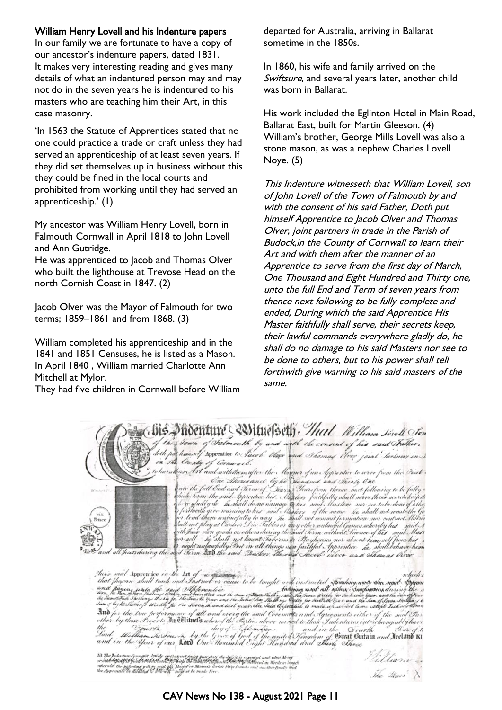### William Henry Lovell and his Indenture papers

In our family we are fortunate to have a copy of our ancestor's indenture papers, dated 1831. It makes very interesting reading and gives many details of what an indentured person may and may not do in the seven years he is indentured to his masters who are teaching him their Art, in this case masonry.

'In 1563 the Statute of Apprentices stated that no one could practice a trade or craft unless they had served an apprenticeship of at least seven years. If they did set themselves up in business without this they could be fined in the local courts and prohibited from working until they had served an apprenticeship.' (1)

My ancestor was William Henry Lovell, born in Falmouth Cornwall in April 1818 to John Lovell and Ann Gutridge.

He was apprenticed to Jacob and Thomas Olver who built the lighthouse at Trevose Head on the north Cornish Coast in 1847. (2)

Jacob Olver was the Mayor of Falmouth for two terms; 1859–1861 and from 1868. (3)

William completed his apprenticeship and in the 1841 and 1851 Censuses, he is listed as a Mason. In April 1840 , William married Charlotte Ann Mitchell at Mylor.

They had five children in Cornwall before William

departed for Australia, arriving in Ballarat sometime in the 1850s.

In 1860, his wife and family arrived on the Swiftsure, and several years later, another child was born in Ballarat.

His work included the Eglinton Hotel in Main Road, Ballarat East, built for Martin Gleeson. (4) William's brother, George Mills Lovell was also a stone mason, as was a nephew Charles Lovell Noye. (5)

This Indenture witnesseth that William Lovell, son of John Lovell of the Town of Falmouth by and with the consent of his said Father, Doth put himself Apprentice to Jacob Olver and Thomas Olver, joint partners in trade in the Parish of Budock,in the County of Cornwall to learn their Art and with them after the manner of an Apprentice to serve from the first day of March, One Thousand and Eight Hundred and Thirty one, unto the full End and Term of seven years from thence next following to be fully complete and ended, During which the said Apprentice His Master faithfully shall serve, their secrets keep, their lawful commands everywhere gladly do, he shall do no damage to his said Masters nor see to be done to others, but to his power shall tell forthwith give warning to his said masters of the same.

| bis noenture ( )the sett) . That William Sovel Son                                                                                                                                                                                                                                                                                                                                                                                                                                                                                                                                                                                                   |
|------------------------------------------------------------------------------------------------------------------------------------------------------------------------------------------------------------------------------------------------------------------------------------------------------------------------------------------------------------------------------------------------------------------------------------------------------------------------------------------------------------------------------------------------------------------------------------------------------------------------------------------------------|
| of the Sown of Salmouth by and with the consent of his said hother ,<br>doth full himself Apprentice to Sacob Oliver and Shomas Clock joint hertness in<br>in the Country of Cornwall.                                                                                                                                                                                                                                                                                                                                                                                                                                                               |
| ) to learn these Let and with the mafter the Marguer of an Apprentice to serve from the Decet .<br>One Thousand by he Handred and Chiefy One<br>ato the full End and Serm of Tower Sears from thence next following to be fully a<br>Atlantici inc                                                                                                                                                                                                                                                                                                                                                                                                   |
| cheho term the said Apprentice his Maxlory faithfully shall serve their secrets heep th<br>force gladly do he shall do no namage to his said. Has ber nor see to be done of other<br>of forthwith give warning to his said. Castery of the same he shall not waste the Go<br><b>Six</b><br>for lend them unlawfully to any the shall not commit formeation and contract Matrix<br>Bence<br>hall not play at Cardsor Die Inbles or any other unlawful Games whereby his said A<br>gith hair vien goods or others during the said Form without heence of his said Man<br>for sell he shall not haunt Javerns or Hayhouses nor absent hem self from his |
| is night unlawfully that in all things as a faithful Approvince he shall behave here<br>11. " and all hars during the said Serm 200 the said Rasters the said Saceb. view and Thomas Vire                                                                                                                                                                                                                                                                                                                                                                                                                                                            |
| there and Apprentice on the Art of a members<br>mhuch t                                                                                                                                                                                                                                                                                                                                                                                                                                                                                                                                                                                              |
| that flagean shall teach and Instruct or cause to be tunght and instructed Reading work the societ Expect and<br>and flagen, write the said Melowendie and the same films sully instance with expective the sum his more start<br>th<br>And for the true performance of all and every the said Covenant's and Agreements either of the said Sar                                                                                                                                                                                                                                                                                                      |
| other by those Presents In Controls whereof the Parties above named to those Indentures enterchangeably have<br>the " Dourth day of Elderware and in the Quarth"<br>$H = \frac{1}{2}$<br>Lord Melliam he Tour in by the Grace of God of the united Kingdom of Creat Critain and Ireland Ki<br>and in the Year of our Kord One Thousand Eight Handred and Thing There                                                                                                                                                                                                                                                                                 |
| 'illiann<br>DL The Bularture Greenght Article of Cortract puist bear date the derivit is expensed and what Mores<br>or other Gladf Erican Colectilisered for help the Clan Motherater third of the best each in Words at length<br>otherwise the highenture will be void the Masser or Mistres's fortest Fire Bounds and another finally and<br>the dispersion to disability to willow it " make or be made Free.<br>The Mars A                                                                                                                                                                                                                      |

CAV News No 138 - August 2021 Page 11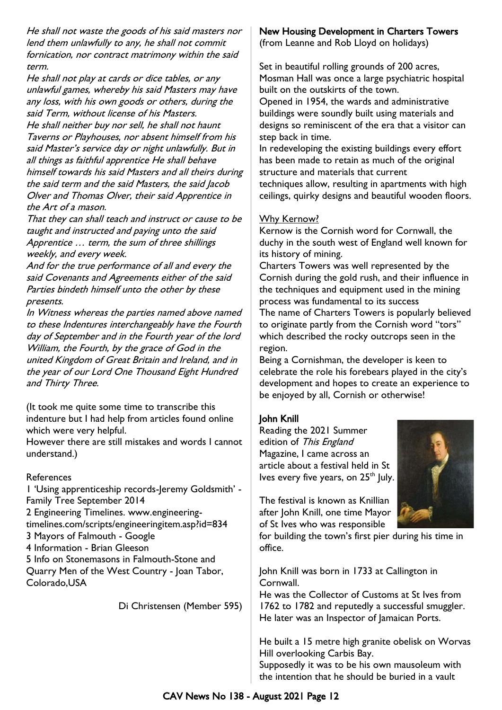He shall not waste the goods of his said masters nor lend them unlawfully to any, he shall not commit fornication, nor contract matrimony within the said term.

He shall not play at cards or dice tables, or any unlawful games, whereby his said Masters may have any loss, with his own goods or others, during the said Term, without license of his Masters. He shall neither buy nor sell, he shall not haunt Taverns or Playhouses, nor absent himself from his said Master's service day or night unlawfully. But in all things as faithful apprentice He shall behave himself towards his said Masters and all theirs during the said term and the said Masters, the said Jacob Olver and Thomas Olver, their said Apprentice in the Art of a mason.

That they can shall teach and instruct or cause to be taught and instructed and paying unto the said Apprentice … term, the sum of three shillings weekly, and every week.

And for the true performance of all and every the said Covenants and Agreements either of the said Parties bindeth himself unto the other by these presents.

In Witness whereas the parties named above named to these Indentures interchangeably have the Fourth day of September and in the Fourth year of the lord William, the Fourth, by the grace of God in the united Kingdom of Great Britain and Ireland, and in the year of our Lord One Thousand Eight Hundred and Thirty Three.

(It took me quite some time to transcribe this indenture but I had help from articles found online which were very helpful.

However there are still mistakes and words I cannot understand.)

#### References

1 'Using apprenticeship records-Jeremy Goldsmith' - Family Tree September 2014 2 Engineering Timelines. www.engineeringtimelines.com/scripts/engineeringitem.asp?id=834 3 Mayors of Falmouth - Google 4 Information - Brian Gleeson 5 Info on Stonemasons in Falmouth-Stone and Quarry Men of the West Country - Joan Tabor, Colorado,USA

Di Christensen (Member 595)

### New Housing Development in Charters Towers

(from Leanne and Rob Lloyd on holidays)

Set in beautiful rolling grounds of 200 acres, Mosman Hall was once a large psychiatric hospital built on the outskirts of the town. Opened in 1954, the wards and administrative

buildings were soundly built using materials and designs so reminiscent of the era that a visitor can step back in time.

In redeveloping the existing buildings every effort has been made to retain as much of the original structure and materials that current techniques allow, resulting in apartments with high ceilings, quirky designs and beautiful wooden floors.

#### Why Kernow?

Kernow is the Cornish word for Cornwall, the duchy in the south west of England well known for its history of mining.

Charters Towers was well represented by the Cornish during the gold rush, and their influence in the techniques and equipment used in the mining process was fundamental to its success The name of Charters Towers is popularly believed to originate partly from the Cornish word "tors" which described the rocky outcrops seen in the region.

Being a Cornishman, the developer is keen to celebrate the role his forebears played in the city's development and hopes to create an experience to be enjoyed by all, Cornish or otherwise!

#### John Knill

Reading the 2021 Summer edition of This England Magazine, I came across an article about a festival held in St Ives every five years, on  $25<sup>th</sup>$  July.

The festival is known as Knillian after John Knill, one time Mayor of St Ives who was responsible

for building the town's first pier during his time in office.

John Knill was born in 1733 at Callington in Cornwall.

He was the Collector of Customs at St Ives from 1762 to 1782 and reputedly a successful smuggler. He later was an Inspector of Jamaican Ports.

He built a 15 metre high granite obelisk on Worvas Hill overlooking Carbis Bay.

Supposedly it was to be his own mausoleum with the intention that he should be buried in a vault

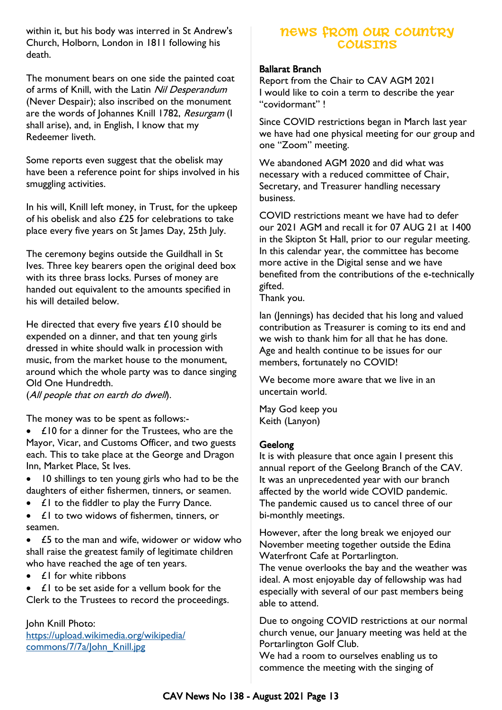within it, but his body was interred in St Andrew's Church, Holborn, London in 1811 following his death.

The monument bears on one side the painted coat of arms of Knill, with the Latin Nil Desperandum (Never Despair); also inscribed on the monument are the words of Johannes Knill 1782, Resurgam (I shall arise), and, in English, I know that my Redeemer liveth.

Some reports even suggest that the obelisk may have been a reference point for ships involved in his smuggling activities.

In his will, Knill left money, in Trust, for the upkeep of his obelisk and also £25 for celebrations to take place every five years on St James Day, 25th July.

The ceremony begins outside the Guildhall in St Ives. Three key bearers open the original deed box with its three brass locks. Purses of money are handed out equivalent to the amounts specified in his will detailed below.

He directed that every five years  $£10$  should be expended on a dinner, and that ten young girls dressed in white should walk in procession with music, from the market house to the monument, around which the whole party was to dance singing Old One Hundredth.

(All people that on earth do dwell).

The money was to be spent as follows:-

• £10 for a dinner for the Trustees, who are the Mayor, Vicar, and Customs Officer, and two guests each. This to take place at the George and Dragon Inn, Market Place, St Ives.

- 10 shillings to ten young girls who had to be the daughters of either fishermen, tinners, or seamen.
- $f \in \mathcal{L}$  to the fiddler to play the Furry Dance.
- $f \mid$  to two widows of fishermen, tinners, or seamen.

• £5 to the man and wife, widower or widow who shall raise the greatest family of legitimate children who have reached the age of ten years.

• **£1** for white ribbons

 $\mathbf{f}$  to be set aside for a vellum book for the Clerk to the Trustees to record the proceedings.

#### John Knill Photo:

[https://upload.wikimedia.org/wikipedia/](https://upload.wikimedia.org/wikipedia/commons/7/7a/John_Knill.jpg) [commons/7/7a/John\\_Knill.jpg](https://upload.wikimedia.org/wikipedia/commons/7/7a/John_Knill.jpg)

## **NEWS FROM OUR COUNTRY COUSINS**

#### Ballarat Branch

Report from the Chair to CAV AGM 2021 I would like to coin a term to describe the year "covidormant" !

Since COVID restrictions began in March last year we have had one physical meeting for our group and one "Zoom" meeting.

We abandoned AGM 2020 and did what was necessary with a reduced committee of Chair, Secretary, and Treasurer handling necessary business.

COVID restrictions meant we have had to defer our 2021 AGM and recall it for 07 AUG 21 at 1400 in the Skipton St Hall, prior to our regular meeting. In this calendar year, the committee has become more active in the Digital sense and we have benefited from the contributions of the e-technically gifted.

Thank you.

Ian (Jennings) has decided that his long and valued contribution as Treasurer is coming to its end and we wish to thank him for all that he has done. Age and health continue to be issues for our members, fortunately no COVID!

We become more aware that we live in an uncertain world.

May God keep you Keith (Lanyon)

#### Geelong

It is with pleasure that once again I present this annual report of the Geelong Branch of the CAV. It was an unprecedented year with our branch affected by the world wide COVID pandemic. The pandemic caused us to cancel three of our bi-monthly meetings.

However, after the long break we enjoyed our November meeting together outside the Edina Waterfront Cafe at Portarlington.

The venue overlooks the bay and the weather was ideal. A most enjoyable day of fellowship was had especially with several of our past members being able to attend.

Due to ongoing COVID restrictions at our normal church venue, our January meeting was held at the Portarlington Golf Club.

We had a room to ourselves enabling us to commence the meeting with the singing of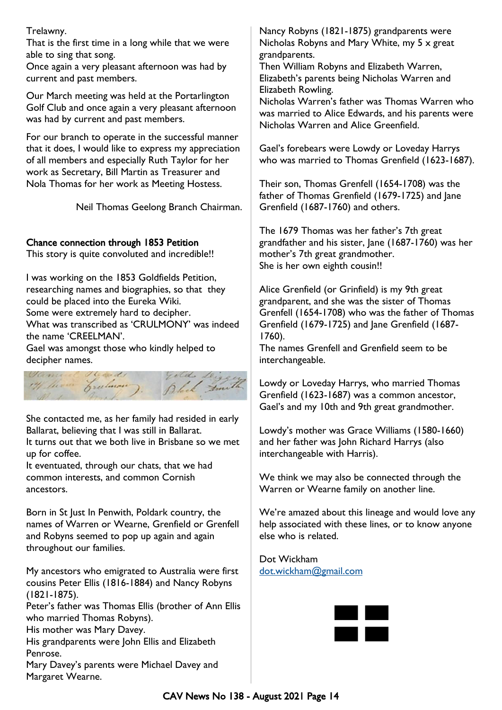Trelawny.

That is the first time in a long while that we were able to sing that song.

Once again a very pleasant afternoon was had by current and past members.

Our March meeting was held at the Portarlington Golf Club and once again a very pleasant afternoon was had by current and past members.

For our branch to operate in the successful manner that it does, I would like to express my appreciation of all members and especially Ruth Taylor for her work as Secretary, Bill Martin as Treasurer and Nola Thomas for her work as Meeting Hostess.

Neil Thomas Geelong Branch Chairman.

### Chance connection through 1853 Petition

This story is quite convoluted and incredible!!

I was working on the 1853 Goldfields Petition, researching names and biographies, so that they could be placed into the Eureka Wiki. Some were extremely hard to decipher. What was transcribed as 'CRULMONY' was indeed the name 'CREELMAN'.

Gael was amongst those who kindly helped to decipher names.



She contacted me, as her family had resided in early Ballarat, believing that I was still in Ballarat. It turns out that we both live in Brisbane so we met up for coffee.

It eventuated, through our chats, that we had common interests, and common Cornish ancestors.

Born in St Just In Penwith, Poldark country, the names of Warren or Wearne, Grenfield or Grenfell and Robyns seemed to pop up again and again throughout our families.

My ancestors who emigrated to Australia were first cousins Peter Ellis (1816-1884) and Nancy Robyns (1821-1875).

Peter's father was Thomas Ellis (brother of Ann Ellis who married Thomas Robyns).

His mother was Mary Davey.

His grandparents were John Ellis and Elizabeth Penrose.

Mary Davey's parents were Michael Davey and Margaret Wearne.

Nancy Robyns (1821-1875) grandparents were Nicholas Robyns and Mary White, my 5 x great grandparents.

Then William Robyns and Elizabeth Warren, Elizabeth's parents being Nicholas Warren and Elizabeth Rowling.

Nicholas Warren's father was Thomas Warren who was married to Alice Edwards, and his parents were Nicholas Warren and Alice Greenfield.

Gael's forebears were Lowdy or Loveday Harrys who was married to Thomas Grenfield (1623-1687).

Their son, Thomas Grenfell (1654-1708) was the father of Thomas Grenfield (1679-1725) and Jane Grenfield (1687-1760) and others.

The 1679 Thomas was her father's 7th great grandfather and his sister, Jane (1687-1760) was her mother's 7th great grandmother. She is her own eighth cousin!!

Alice Grenfield (or Grinfield) is my 9th great grandparent, and she was the sister of Thomas Grenfell (1654-1708) who was the father of Thomas Grenfield (1679-1725) and Jane Grenfield (1687- 1760).

The names Grenfell and Grenfield seem to be interchangeable.

Lowdy or Loveday Harrys, who married Thomas Grenfield (1623-1687) was a common ancestor, Gael's and my 10th and 9th great grandmother.

Lowdy's mother was Grace Williams (1580-1660) and her father was John Richard Harrys (also interchangeable with Harris).

We think we may also be connected through the Warren or Wearne family on another line.

We're amazed about this lineage and would love any help associated with these lines, or to know anyone else who is related.

Dot Wickham [dot.wickham@gmail.com](mailto:dot.wickham@gmail.com)

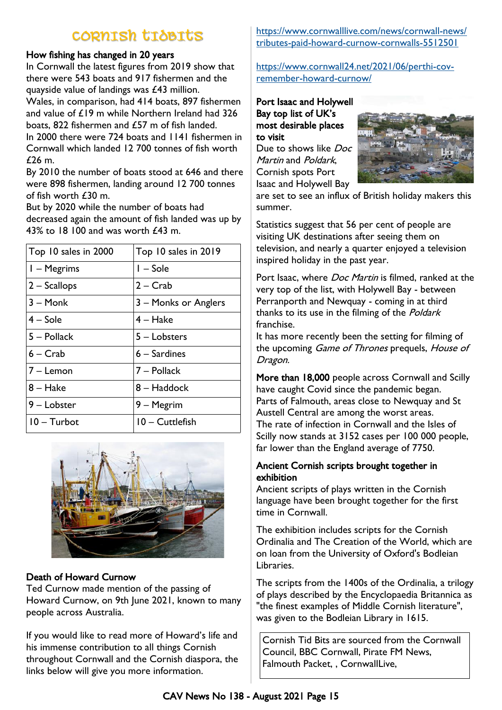# CORNISH TIDBITS

### How fishing has changed in 20 years

In Cornwall the latest figures from 2019 show that there were 543 boats and 917 fishermen and the quayside value of landings was £43 million.

Wales, in comparison, had 414 boats, 897 fishermen and value of £19 m while Northern Ireland had 326 boats, 822 fishermen and £57 m of fish landed.

In 2000 there were 724 boats and 1141 fishermen in Cornwall which landed 12 700 tonnes of fish worth £26 m.

By 2010 the number of boats stood at 646 and there were 898 fishermen, landing around 12 700 tonnes of fish worth £30 m.

But by 2020 while the number of boats had decreased again the amount of fish landed was up by 43% to 18 100 and was worth £43 m.

| Top 10 sales in 2000 | Top 10 sales in 2019 |
|----------------------|----------------------|
| I - Megrims          | $I - Sole$           |
| $2 -$ Scallops       | $2 - Crab$           |
| $3 -$ Monk           | 3 – Monks or Anglers |
| $4 -$ Sole           | $4 - Hake$           |
| 5 - Pollack          | 5 – Lobsters         |
| 6 – Crab             | 6 – Sardines         |
| 7 - Lemon            | 7 – Pollack          |
| 8 – Hake             | 8 – Haddock          |
| 9 – Lobster          | 9 - Megrim           |
| $10 -$ Turbot        | 10 - Cuttlefish      |



### Death of Howard Curnow

Ted Curnow made mention of the passing of Howard Curnow, on 9th June 2021, known to many people across Australia.

If you would like to read more of Howard's life and his immense contribution to all things Cornish throughout Cornwall and the Cornish diaspora, the links below will give you more information.

[https://www.cornwalllive.com/news/cornwall-news/](https://www.cornwalllive.com/news/cornwall-news/tributes-paid-howard-curnow-cornwalls-5512501) [tributes-paid-howard-curnow-cornwalls-5512501](https://www.cornwalllive.com/news/cornwall-news/tributes-paid-howard-curnow-cornwalls-5512501)

[https://www.cornwall24.net/2021/06/perthi-cov](https://www.cornwall24.net/2021/06/perthi-cov-remember-howard-curnow/)[remember-howard-curnow/](https://www.cornwall24.net/2021/06/perthi-cov-remember-howard-curnow/)

#### Port Isaac and Holywell Bay top list of UK's most desirable places to visit

Due to shows like Doc Martin and Poldark, Cornish spots Port Isaac and Holywell Bay



are set to see an influx of British holiday makers this summer.

Statistics suggest that 56 per cent of people are visiting UK destinations after seeing them on television, and nearly a quarter enjoyed a television inspired holiday in the past year.

Port Isaac, where *Doc Martin* is filmed, ranked at the very top of the list, with Holywell Bay - between [Perranporth](https://www.cornwalllive.com/all-about/perranporth) and [Newquay](https://www.cornwalllive.com/all-about/newquay) - coming in at third thanks to its use in the filming of the *Poldark* franchise.

It has more recently been the setting for filming of the upcoming Game of Thrones prequels, House of Dragon.

More than 18,000 people across Cornwall and Scilly have caught Covid since the pandemic began. Parts of Falmouth, areas close to Newquay and St Austell Central are among the worst areas. The rate of infection in Cornwall and the Isles of Scilly now stands at 3152 cases per 100 000 people, far lower than the England average of 7750.

### Ancient Cornish scripts brought together in exhibition

Ancient scripts of plays written in the Cornish language have been brought together for the first time in Cornwall.

The exhibition includes scripts for the Cornish Ordinalia and The Creation of the World, which are on loan from the University of Oxford's Bodleian Libraries.

The scripts from the 1400s of the Ordinalia, a trilogy of plays described by the Encyclopaedia Britannica as "the finest examples of Middle Cornish literature", was given to the Bodleian Library in 1615.

Cornish Tid Bits are sourced from the Cornwall Council, BBC Cornwall, Pirate FM News, Falmouth Packet, , CornwallLive,